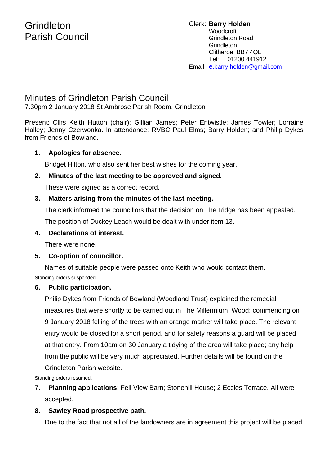# Minutes of Grindleton Parish Council

7.30pm 2 January 2018 St Ambrose Parish Room, Grindleton

Present: Cllrs Keith Hutton (chair); Gillian James; Peter Entwistle; James Towler; Lorraine Halley; Jenny Czerwonka. In attendance: RVBC Paul Elms; Barry Holden; and Philip Dykes from Friends of Bowland.

### **1. Apologies for absence.**

Bridget Hilton, who also sent her best wishes for the coming year.

#### **2. Minutes of the last meeting to be approved and signed.**

These were signed as a correct record.

#### **3. Matters arising from the minutes of the last meeting.**

The clerk informed the councillors that the decision on The Ridge has been appealed. The position of Duckey Leach would be dealt with under item 13.

#### **4. Declarations of interest.**

There were none.

#### **5. Co-option of councillor.**

Names of suitable people were passed onto Keith who would contact them.

Standing orders suspended.

# **6. Public participation.**

Philip Dykes from Friends of Bowland (Woodland Trust) explained the remedial measures that were shortly to be carried out in The Millennium Wood: commencing on 9 January 2018 felling of the trees with an orange marker will take place. The relevant entry would be closed for a short period, and for safety reasons a guard will be placed at that entry. From 10am on 30 January a tidying of the area will take place; any help from the public will be very much appreciated. Further details will be found on the Grindleton Parish website.

Standing orders resumed.

7. **Planning applications**: Fell View Barn; Stonehill House; 2 Eccles Terrace. All were accepted.

# **8. Sawley Road prospective path.**

Due to the fact that not all of the landowners are in agreement this project will be placed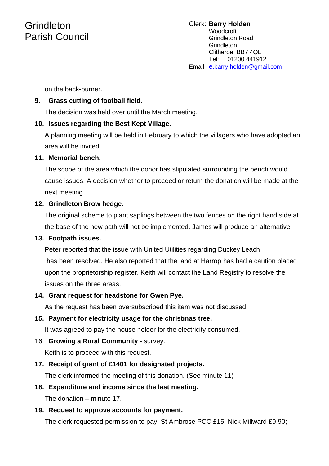# Grindleton Parish Council

on the back-burner.

## **9. Grass cutting of football field.**

The decision was held over until the March meeting.

### **10. Issues regarding the Best Kept Village.**

A planning meeting will be held in February to which the villagers who have adopted an area will be invited.

#### **11. Memorial bench.**

The scope of the area which the donor has stipulated surrounding the bench would cause issues. A decision whether to proceed or return the donation will be made at the next meeting.

### **12. Grindleton Brow hedge.**

The original scheme to plant saplings between the two fences on the right hand side at the base of the new path will not be implemented. James will produce an alternative.

#### **13. Footpath issues.**

Peter reported that the issue with United Utilities regarding Duckey Leach has been resolved. He also reported that the land at Harrop has had a caution placed upon the proprietorship register. Keith will contact the Land Registry to resolve the issues on the three areas.

#### **14. Grant request for headstone for Gwen Pye.**

As the request has been oversubscribed this item was not discussed.

#### **15. Payment for electricity usage for the christmas tree.**

It was agreed to pay the house holder for the electricity consumed.

#### 16. **Growing a Rural Community** - survey.

Keith is to proceed with this request.

# **17. Receipt of grant of £1401 for designated projects.**

The clerk informed the meeting of this donation. (See minute 11)

# **18. Expenditure and income since the last meeting.**

The donation – minute 17.

# **19. Request to approve accounts for payment.**

The clerk requested permission to pay: St Ambrose PCC £15; Nick Millward £9.90;